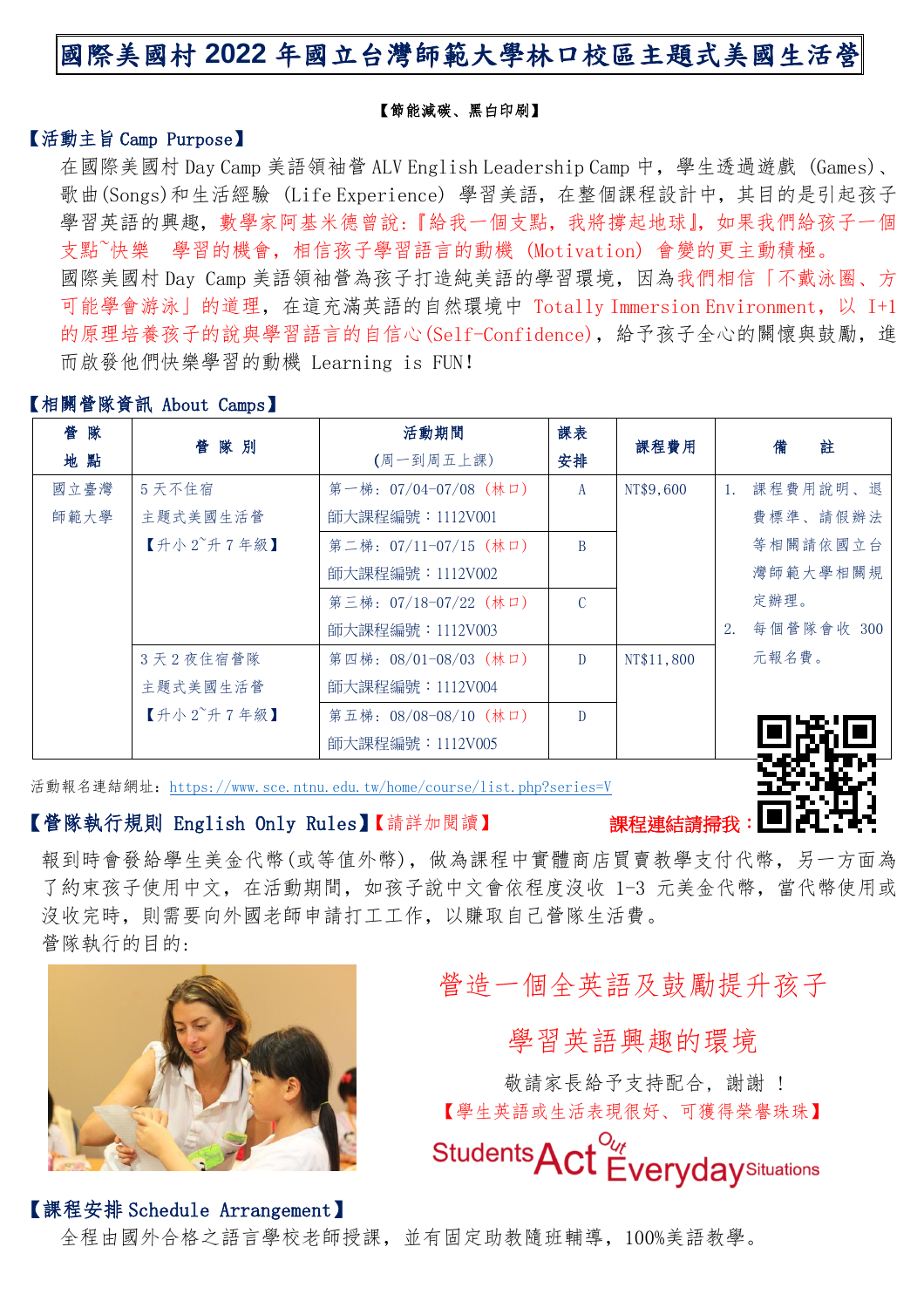# 國際美國村 **2022** 年國立台灣師範大學林口校區主題式美國生活營

#### 【節能減碳、黑白印刷】

### 【活動主旨 Camp Purpose】

在國際美國村 Day Camp 美語領袖管 ALV English Leadership Camp 中, 學生透過遊戲 (Games)、 歌曲(Songs)和生活經驗 (Life Experience) 學習美語,在整個課程設計中,其目的是引起孩子 學習英語的興趣,數學家阿基米德曾說:『給我一個支點,我將撐起地球』,如果我們給孩子一個 支點~快樂 學習的機會,相信孩子學習語言的動機 (Motivation) 會變的更主動積極。 國際美國村 Day Camp 美語領袖營為孩子打造純美語的學習環境,因為我們相信「不戴泳圈、方 可能學會游泳」的道理,在這充滿英語的自然環境中 Totally Immersion Environment,以 I+1 的原理培養孩子的說與學習語言的自信心(Self-Confidence),給予孩子全心的關懷與鼓勵,進 而啟發他們快樂學習的動機 Learning is FUN!

### 【相關營隊資訊 About Camps】

| 管隊   | 管隊別                     | 活動期間                  | 課表            | 課程費用       |                | 註<br>備     |
|------|-------------------------|-----------------------|---------------|------------|----------------|------------|
| 地點   |                         | 安排<br>(周一到周五上課)       |               |            |                |            |
| 國立臺灣 | 5 天不住宿                  | 第一梯:07/04-07/08(林口)   | A             | NT\$9,600  | $\mathbf{1}$ . | 課程費用說明、退   |
| 師範大學 | 主題式美國生活營                | 師大課程編號: 1112V001      |               |            |                | 費標準、請假辦法   |
|      | 【升小 $2^{\sim}$ 升 7 年級】  | 第二梯: 07/11-07/15 (林口) | B             |            |                | 等相關請依國立台   |
|      |                         | 師大課程編號: 1112V002      |               |            |                | 灣師範大學相關規   |
|      |                         | 第三梯: 07/18-07/22 (林口) | $\mathcal{C}$ |            |                | 定辦理。       |
|      |                         | 師大課程編號: 1112V003      |               |            | 2.             | 每個營隊會收 300 |
|      | 3天2夜住宿管隊                | 第四梯: 08/01-08/03 (林口) | D             | NT\$11,800 |                | 元報名費。      |
|      | 主題式美國生活營                | 師大課程編號: 1112V004      |               |            |                |            |
|      | 【升小 $2^\circ$ 升 $7$ 年級】 | 第五梯: 08/08-08/10 (林口) | $\mathbf{D}$  |            |                |            |
|      |                         | 師大課程編號: 1112V005      |               |            |                |            |

活動報名連結網址:<https://www.sce.ntnu.edu.tw/home/course/list.php?series=V>

### 【營隊執行規則 English Only Rules】【請詳加閱讀】

報到時會發給學生美金代幣(或等值外幣),做為課程中實體商店買賣教學支付代幣,另一方面為 了約束孩子使用中文,在活動期間,如孩子說中文會依程度沒收 1-3 元美金代幣,當代幣使用或 沒收完時,則需要向外國老師申請打工工作,以賺取自己營隊生活費。 營隊執行的目的:



# 營造一個全英語及鼓勵提升孩子

學習英語興趣的環境

敬請家長給予支持配合, 謝謝 ! 【學生英語或生活表現很好、可獲得榮譽珠珠】

Students<sub>A</sub> **Everyday** Situations

### 【課程安排 Schedule Arrangement】

全程由國外合格之語言學校老師授課,並有固定助教隨班輔導,100%美語教學。

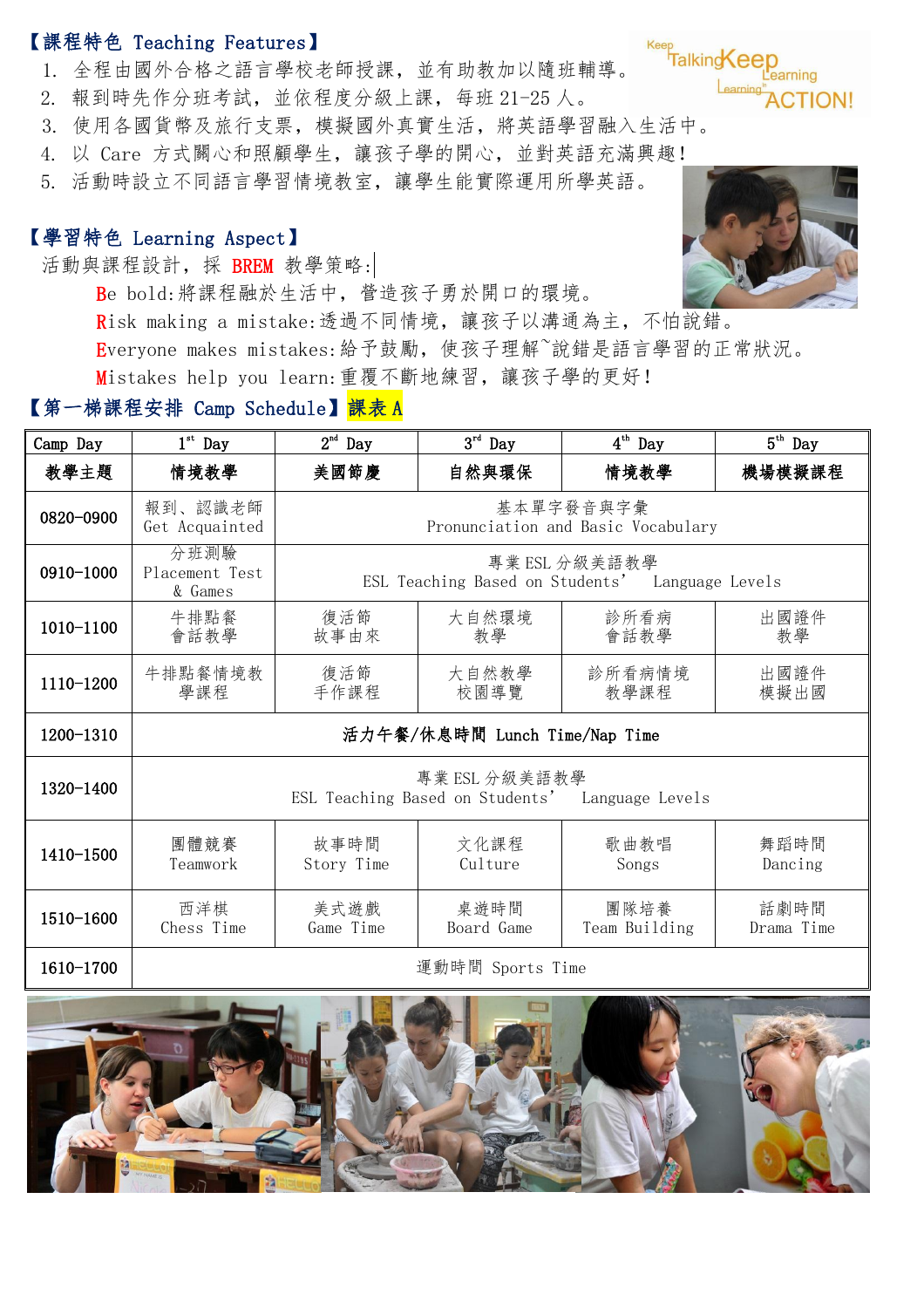## 【課程特色 Teaching Features】

- 1. 全程由國外合格之語言學校老師授課,並有助教加以隨班輔導。
- 2. 報到時先作分班考試,並依程度分級上課,每班 21-25 人。
- 3. 使用各國貨幣及旅行支票,模擬國外真實生活,將英語學習融入生活中。
- 4. 以 Care 方式關心和照顧學生,讓孩子學的開心,並對英語充滿興趣!
- 5. 活動時設立不同語言學習情境教室,讓學生能實際運用所學英語。

## 【學習特色 Learning Aspect】

活動與課程設計,採 BREM 教學策略:

- Be bold:將課程融於生活中,營造孩子勇於開口的環境。 Risk making a mistake:透過不同情境,讓孩子以溝通為主,不怕說錯。 Everyone makes mistakes:給予鼓勵,使孩子理解~說錯是語言學習的正常狀況。
- Mistakes help you learn:重覆不斷地練習,讓孩子學的更好!

## 【第一梯課程安排 Camp Schedule】<mark>課表 A</mark>

| Camp Day  | $1st$ Day                                                        | 2 <sup>nd</sup><br>Day                                           | $3^{\rm rd}$ Day   | $4^{\text{th}}$ Day   | $5^{\text{th}}$ Day |
|-----------|------------------------------------------------------------------|------------------------------------------------------------------|--------------------|-----------------------|---------------------|
| 教學主題      | 情境教學                                                             | 美國節慶                                                             | 自然與環保              | 情境教學                  | 機場模擬課程              |
| 0820-0900 | 報到、認識老師<br>Get Acquainted                                        | 基本單字發音與字彙<br>Pronunciation and Basic Vocabulary                  |                    |                       |                     |
| 0910-1000 | 分班測驗<br>Placement Test<br>& Games                                | 專業 ESL 分級美語教學<br>ESL Teaching Based on Students' Language Levels |                    |                       |                     |
| 1010-1100 | 牛排點餐<br>會話教學                                                     | 復活節<br>故事由來                                                      | 大自然環境<br>教學        | 診所看病<br>會話教學          | 出國證件<br>教學          |
| 1110-1200 | 牛排點餐情境教<br>學課程                                                   | 復活節<br>手作課程                                                      | 大自然教學<br>校園導覽      | 診所看病情境<br>教學課程        | 出國證件<br>模擬出國        |
| 1200-1310 | 活力午餐/休息時間 Lunch Time/Nap Time                                    |                                                                  |                    |                       |                     |
| 1320-1400 | 專業 ESL 分級美語教學<br>ESL Teaching Based on Students' Language Levels |                                                                  |                    |                       |                     |
| 1410-1500 | 團體競賽<br>Teamwork                                                 | 故事時間<br>Story Time                                               | 文化課程<br>Culture    | 歌曲教唱<br>Songs         | 舞蹈時間<br>Dancing     |
| 1510-1600 | 西洋棋<br>Chess Time                                                | 美式遊戲<br>Game Time                                                | 桌遊時間<br>Board Game | 團隊培養<br>Team Building | 話劇時間<br>Drama Time  |
| 1610-1700 | 運動時間 Sports Time                                                 |                                                                  |                    |                       |                     |





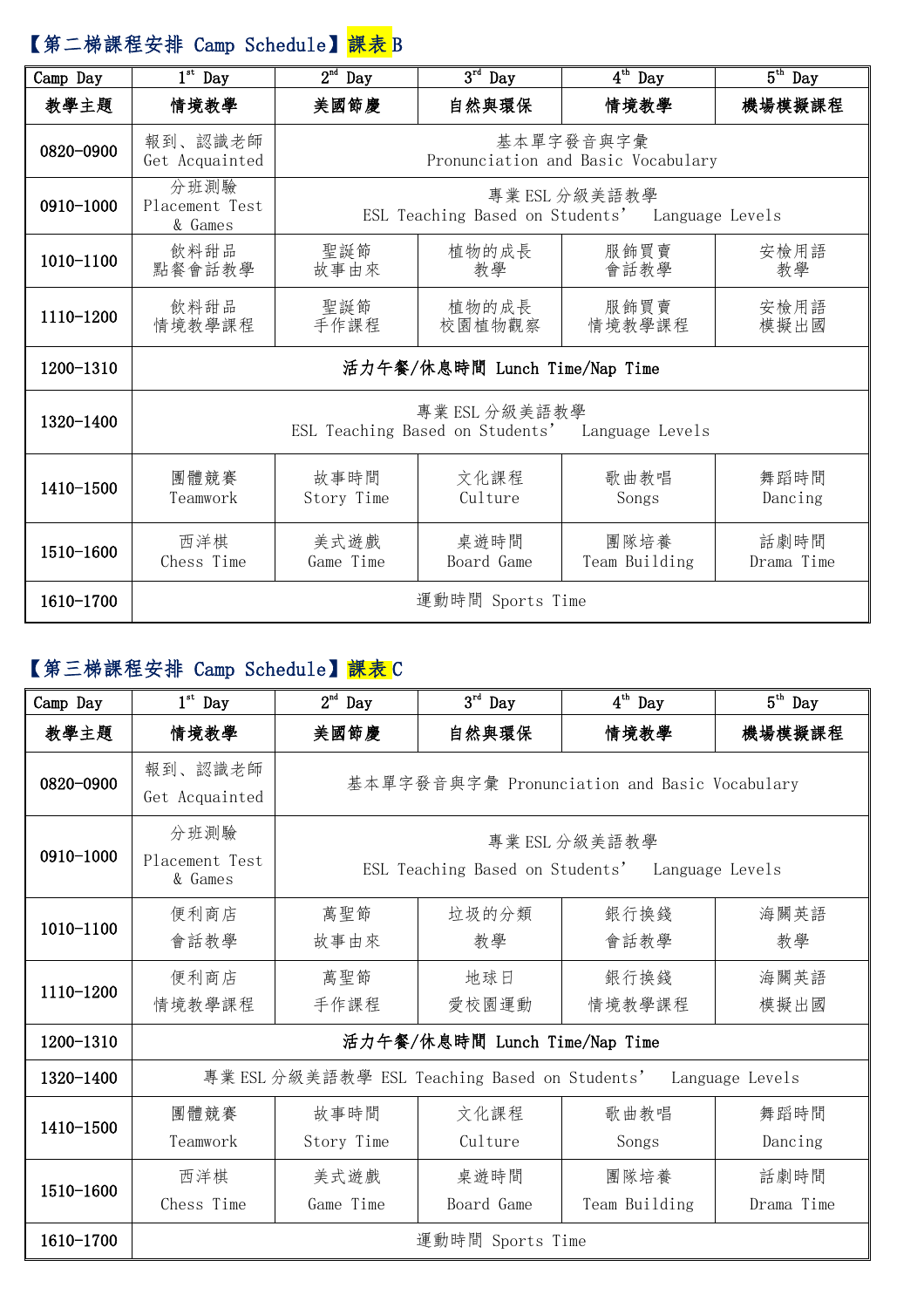# 【第二梯課程安排 Camp Schedule】<mark>課表</mark> B

| Camp Day  | $1st$ Day                                                        | $2nd$ Day                                                        | $3^{rd}$ Day       | $4^{\overline{\text{th}}}$ Day | $5^{\text{th}}$ Day |
|-----------|------------------------------------------------------------------|------------------------------------------------------------------|--------------------|--------------------------------|---------------------|
| 教學主題      | 情境教學                                                             | 美國節慶                                                             | 自然與環保              | 情境教學                           | 機場模擬課程              |
| 0820-0900 | 報到、認識老師<br>Get Acquainted                                        | 基本單字發音與字彙<br>Pronunciation and Basic Vocabulary                  |                    |                                |                     |
| 0910-1000 | 分班測驗<br>Placement Test<br>& Games                                | 專業 ESL 分級美語教學<br>ESL Teaching Based on Students' Language Levels |                    |                                |                     |
| 1010-1100 | 飲料甜品<br>點餐會話教學                                                   | 聖誕節<br>故事由來                                                      | 植物的成長<br>教學        | 服飾買賣<br>會話教學                   | 安檢用語<br>教學          |
| 1110-1200 | 飲料甜品<br>情境教學課程                                                   | 聖誕節<br>手作課程                                                      | 植物的成長<br>校園植物觀察    | 服飾買賣<br>情境教學課程                 | 安檢用語<br>模擬出國        |
| 1200-1310 | 活力午餐/休息時間 Lunch Time/Nap Time                                    |                                                                  |                    |                                |                     |
| 1320-1400 | 專業 ESL 分級美語教學<br>ESL Teaching Based on Students' Language Levels |                                                                  |                    |                                |                     |
| 1410-1500 | 團體競賽<br>Teamwork                                                 | 故事時間<br>Story Time                                               | 文化課程<br>Culture    | 歌曲教唱<br>Songs                  | 舞蹈時間<br>Dancing     |
| 1510-1600 | 西洋棋<br>Chess Time                                                | 美式遊戲<br>Game Time                                                | 桌遊時間<br>Board Game | 團隊培養<br>Team Building          | 話劇時間<br>Drama Time  |
| 1610-1700 | 運動時間 Sports Time                                                 |                                                                  |                    |                                |                     |

## 【第三梯課程安排 Camp Schedule】<mark>課表</mark> C

| Camp Day  | $1st$ Day                                                        | $2^{\rm nd}$ Day                                                 | $3^{\rm rd}$ Day   | $4^{th}$ Day          | $5th$ Day          |
|-----------|------------------------------------------------------------------|------------------------------------------------------------------|--------------------|-----------------------|--------------------|
| 教學主題      | 情境教學                                                             | 美國節慶                                                             | 自然與環保              | 情境教學                  | 機場模擬課程             |
| 0820-0900 | 報到、認識老師<br>Get Acquainted                                        | 基本單字發音與字彙 Pronunciation and Basic Vocabulary                     |                    |                       |                    |
| 0910-1000 | 分班測驗<br>Placement Test<br>& Games                                | 專業 ESL 分級美語教學<br>ESL Teaching Based on Students' Language Levels |                    |                       |                    |
| 1010-1100 | 便利商店<br>會話教學                                                     | 萬聖節<br>故事由來                                                      | 垃圾的分類<br>教學        | 銀行換錢<br>會話教學          | 海關英語<br>教學         |
| 1110-1200 | 便利商店<br>情境教學課程                                                   | 萬聖節<br>手作課程                                                      | 地球日<br>愛校園運動       | 銀行換錢<br>情境教學課程        | 海關英語<br>模擬出國       |
| 1200-1310 | 活力午餐/休息時間 Lunch Time/Nap Time                                    |                                                                  |                    |                       |                    |
| 1320-1400 | 專業 ESL 分級美語教學 ESL Teaching Based on Students'<br>Language Levels |                                                                  |                    |                       |                    |
| 1410-1500 | 團體競賽<br>Teamwork                                                 | 故事時間<br>Story Time                                               | 文化課程<br>Culture    | 歌曲教唱<br>Songs         | 舞蹈時間<br>Dancing    |
| 1510-1600 | 西洋棋<br>Chess Time                                                | 美式遊戲<br>Game Time                                                | 桌遊時間<br>Board Game | 團隊培養<br>Team Building | 話劇時間<br>Drama Time |
| 1610-1700 | 運動時間 Sports Time                                                 |                                                                  |                    |                       |                    |